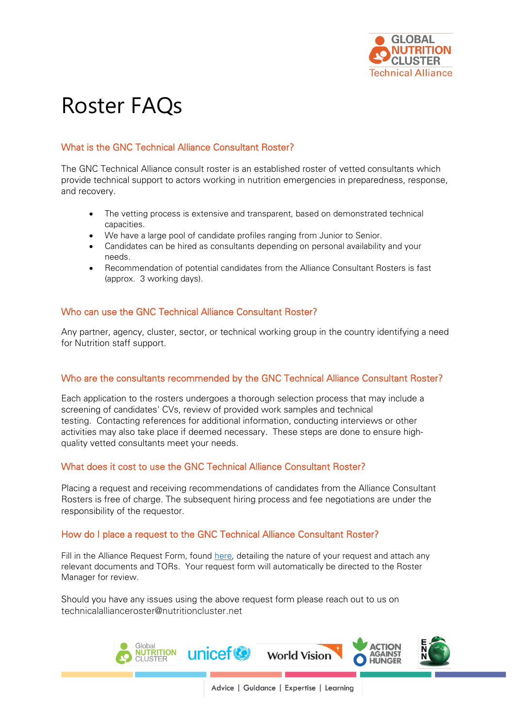

# Roster FAQs

# What is the GNC Technical Alliance Consultant Roster?

The GNC Technical Alliance consult roster is an established roster of vetted consultants which provide technical support to actors working in nutrition emergencies in preparedness, response, and recovery.

- The vetting process is extensive and transparent, based on demonstrated technical capacities.
- We have a large pool of candidate profiles ranging from Junior to Senior.
- Candidates can be hired as consultants depending on personal availability and your needs.
- Recommendation of potential candidates from the Alliance Consultant Rosters is fast (approx. 3 working days).

## Who can use the GNC Technical Alliance Consultant Roster?

Any partner, agency, cluster, sector, or technical working group in the country identifying a need for Nutrition staff support.

#### Who are the consultants recommended by the GNC Technical Alliance Consultant Roster?

Each application to the rosters undergoes a thorough selection process that may include a screening of candidates' CVs, review of provided work samples and technical testing. Contacting references for additional information, conducting interviews or other activities may also take place if deemed necessary. These steps are done to ensure highquality vetted consultants meet your needs.

# What does it cost to use the GNC Technical Alliance Consultant Roster?

Placing a request and receiving recommendations of candidates from the Alliance Consultant Rosters is free of charge. The subsequent hiring process and fee negotiations are under the responsibility of the requestor.

#### How do I place a request to the GNC Technical Alliance Consultant Roster?

Fill in the Alliance Request Form, found [here,](https://ta.nutritioncluster.net/request-support) detailing the nature of your request and attach any relevant documents and TORs. Your request form will automatically be directed to the Roster Manager for review.

Should you have any issues using the above request form please reach out to us on technicalallianceroster@nutritioncluster.net



Advice | Guidance | Expertise | Learning